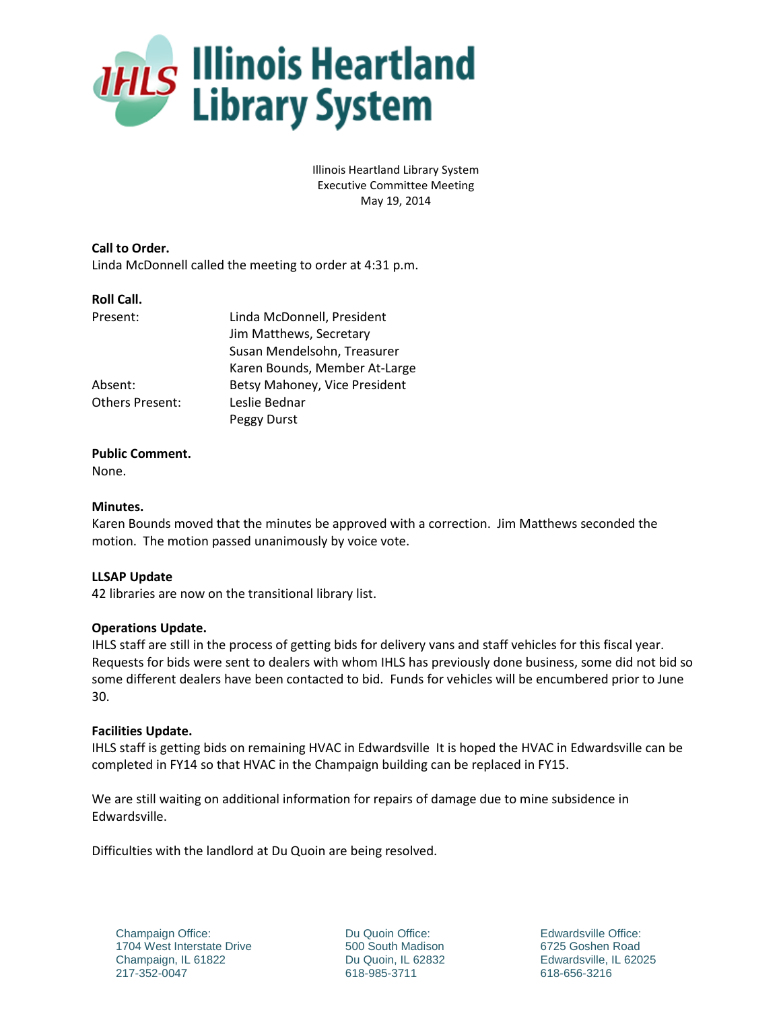

Illinois Heartland Library System Executive Committee Meeting May 19, 2014

**Call to Order.** Linda McDonnell called the meeting to order at 4:31 p.m.

### **Roll Call.**

| Present:               | Linda McDonnell, President    |
|------------------------|-------------------------------|
|                        | Jim Matthews, Secretary       |
|                        | Susan Mendelsohn, Treasurer   |
|                        | Karen Bounds, Member At-Large |
| Absent:                | Betsy Mahoney, Vice President |
| <b>Others Present:</b> | Leslie Bednar                 |
|                        | Peggy Durst                   |

### **Public Comment.**

None.

## **Minutes.**

Karen Bounds moved that the minutes be approved with a correction. Jim Matthews seconded the motion. The motion passed unanimously by voice vote.

# **LLSAP Update**

42 libraries are now on the transitional library list.

### **Operations Update.**

IHLS staff are still in the process of getting bids for delivery vans and staff vehicles for this fiscal year. Requests for bids were sent to dealers with whom IHLS has previously done business, some did not bid so some different dealers have been contacted to bid. Funds for vehicles will be encumbered prior to June 30.

### **Facilities Update.**

IHLS staff is getting bids on remaining HVAC in Edwardsville It is hoped the HVAC in Edwardsville can be completed in FY14 so that HVAC in the Champaign building can be replaced in FY15.

We are still waiting on additional information for repairs of damage due to mine subsidence in Edwardsville.

Difficulties with the landlord at Du Quoin are being resolved.

Champaign Office: 1704 West Interstate Drive Champaign, IL 61822 217-352-0047

Du Quoin Office: 500 South Madison Du Quoin, IL 62832 618-985-3711

Edwardsville Office: 6725 Goshen Road Edwardsville, IL 62025 618-656-3216